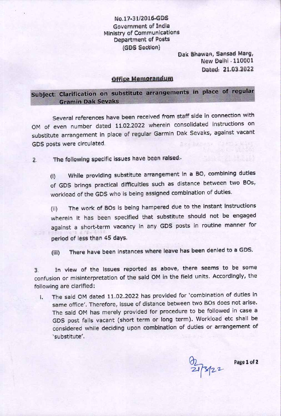## No.17-31/2016-GDS Government of India Ministry of Communlcations Department of Posts (GDS Section)

Dak Bhawan, Sansad Marg, New Dolhl - 110001 Dated: 21.03.2022

## **Office Memorandum**

# Subject: Clarification on substitute arrangements in place of regular **Gramin Dak Sevaks**

Several references have been received from staff side in connection with OM of even number dated 11.02.2022 wherein consolidated instructions on substitute arrangement in place of regular Garmin Dak Sevaks, against vacant GDS posts were clrculated.

2. The following specific issues have been raised.

(i) While providing substitute arrangement in a BO, combining duties of GDS brings practical difficulties such as distance between two BOs, workload of the GDS who is being assigned combination of duties.

(ii) The work of BOs is being hampered due to the instant instructions wherein it has been specified that substitute should not be engaged against a short-term vacancy in any GDS posts in routine manner for period of less than 45 days.

(iii) There have been instances where Ieave has been denied to a GDs

3 In vlew of the lssues reported as above, there seems to be some confusion or misinterpretation of the said OM in the field units. Accordingly, the following are clarified :

i. The said OM dated 11.02.2022 has provided for 'combination of duties in same office'. Therefore, issue of distance between two BOs does not arise. The said OM has merely provided for procedure to be followed in case <sup>a</sup> GDS post falls vacant (short term or long term). Workload etc shall be considered while deciding upon combination of duties or arrangement of 'substitute'.

 $\frac{1}{21}322$ 

Page 1 of 2